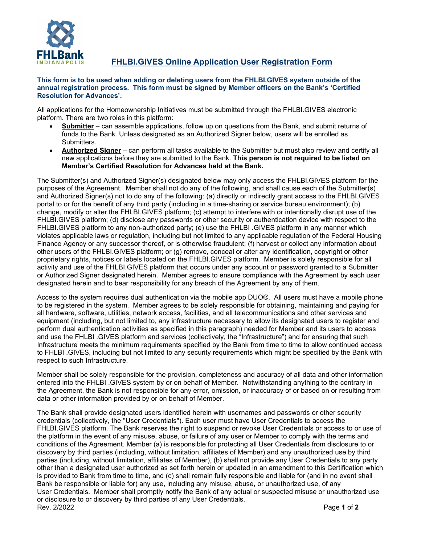

**FHLBI.GIVES Online Application User Registration Form**

## **This form is to be used when adding or deleting users from the FHLBI.GIVES system outside of the annual registration process. This form must be signed by Member officers on the Bank's 'Certified Resolution for Advances'.**

All applications for the Homeownership Initiatives must be submitted through the FHLBI.GIVES electronic platform. There are two roles in this platform:

- **Submitter** can assemble applications, follow up on questions from the Bank, and submit returns of funds to the Bank. Unless designated as an Authorized Signer below, users will be enrolled as **Submitters**
- **Authorized Signer** can perform all tasks available to the Submitter but must also review and certify all new applications before they are submitted to the Bank. **This person is not required to be listed on Member's Certified Resolution for Advances held at the Bank.**

The Submitter(s) and Authorized Signer(s) designated below may only access the FHLBI.GIVES platform for the purposes of the Agreement. Member shall not do any of the following, and shall cause each of the Submitter(s) and Authorized Signer(s) not to do any of the following: (a) directly or indirectly grant access to the FHLBI.GIVES portal to or for the benefit of any third party (including in a time-sharing or service bureau environment); (b) change, modify or alter the FHLBI.GIVES platform; (c) attempt to interfere with or intentionally disrupt use of the FHLBI.GIVES platform; (d) disclose any passwords or other security or authentication device with respect to the FHLBI.GIVES platform to any non-authorized party; (e) use the FHLBI .GIVES platform in any manner which violates applicable laws or regulation, including but not limited to any applicable regulation of the Federal Housing Finance Agency or any successor thereof, or is otherwise fraudulent; (f) harvest or collect any information about other users of the FHLBI.GIVES platform; or (g) remove, conceal or alter any identification, copyright or other proprietary rights, notices or labels located on the FHLBI.GIVES platform. Member is solely responsible for all activity and use of the FHLBI.GIVES platform that occurs under any account or password granted to a Submitter or Authorized Signer designated herein. Member agrees to ensure compliance with the Agreement by each user designated herein and to bear responsibility for any breach of the Agreement by any of them.

Access to the system requires dual authentication via the mobile app DUO®. All users must have a mobile phone to be registered in the system. Member agrees to be solely responsible for obtaining, maintaining and paying for all hardware, software, utilities, network access, facilities, and all telecommunications and other services and equipment (including, but not limited to, any infrastructure necessary to allow its designated users to register and perform dual authentication activities as specified in this paragraph) needed for Member and its users to access and use the FHLBI .GIVES platform and services (collectively, the "Infrastructure") and for ensuring that such Infrastructure meets the minimum requirements specified by the Bank from time to time to allow continued access to FHLBI .GIVES, including but not limited to any security requirements which might be specified by the Bank with respect to such Infrastructure.

Member shall be solely responsible for the provision, completeness and accuracy of all data and other information entered into the FHLBI .GIVES system by or on behalf of Member. Notwithstanding anything to the contrary in the Agreement, the Bank is not responsible for any error, omission, or inaccuracy of or based on or resulting from data or other information provided by or on behalf of Member.

Rev. 2/2022 Page **1** of **2** The Bank shall provide designated users identified herein with usernames and passwords or other security credentials (collectively, the "User Credentials"). Each user must have User Credentials to access the FHLBI.GIVES platform. The Bank reserves the right to suspend or revoke User Credentials or access to or use of the platform in the event of any misuse, abuse, or failure of any user or Member to comply with the terms and conditions of the Agreement. Member (a) is responsible for protecting all User Credentials from disclosure to or discovery by third parties (including, without limitation, affiliates of Member) and any unauthorized use by third parties (including, without limitation, affiliates of Member), (b) shall not provide any User Credentials to any party other than a designated user authorized as set forth herein or updated in an amendment to this Certification which is provided to Bank from time to time, and (c) shall remain fully responsible and liable for (and in no event shall Bank be responsible or liable for) any use, including any misuse, abuse, or unauthorized use, of any User Credentials. Member shall promptly notify the Bank of any actual or suspected misuse or unauthorized use or disclosure to or discovery by third parties of any User Credentials.